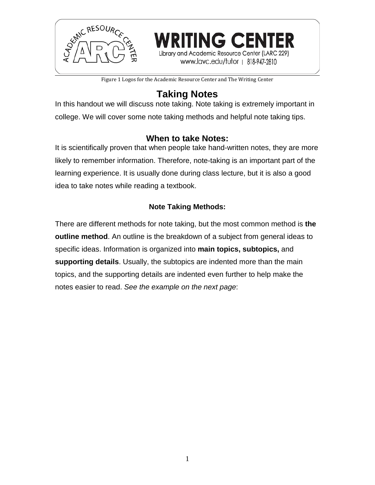

Figure 1 Logos for the Academic Resource Center and The Writing Center

Library and Academic Resource Center (LARC 229) www.lavc.edu/tutor | 818-947-2810

# **Taking Notes**

In this handout we will discuss note taking. Note taking is extremely important in college. We will cover some note taking methods and helpful note taking tips.

# **When to take Notes:**

It is scientifically proven that when people take hand-written notes, they are more likely to remember information. Therefore, note-taking is an important part of the learning experience. It is usually done during class lecture, but it is also a good idea to take notes while reading a textbook.

# **Note Taking Methods:**

There are different methods for note taking, but the most common method is **the outline method**. An outline is the breakdown of a subject from general ideas to specific ideas. Information is organized into **main topics, subtopics,** and **supporting details**. Usually, the subtopics are indented more than the main topics, and the supporting details are indented even further to help make the notes easier to read. *See the example on the next page*: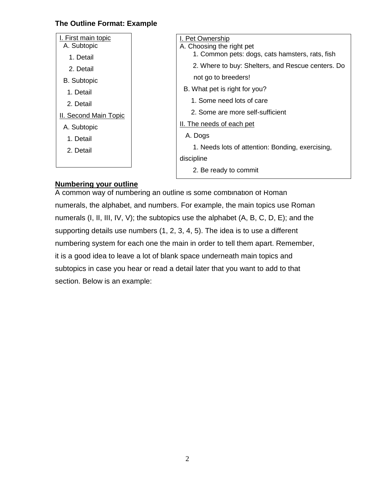### **The Outline Format: Example**

| I. First main topic                                            | I. Pet Ownership                                  |  |
|----------------------------------------------------------------|---------------------------------------------------|--|
| A. Subtopic                                                    | A. Choosing the right pet                         |  |
| 1. Detail                                                      | 1. Common pets: dogs, cats hamsters, rats, fish   |  |
| 2. Detail                                                      | 2. Where to buy: Shelters, and Rescue centers. Do |  |
| <b>B.</b> Subtopic                                             | not go to breeders!                               |  |
| 1. Detail<br>2. Detail<br>II. Second Main Topic<br>A. Subtopic | B. What pet is right for you?                     |  |
|                                                                | 1. Some need lots of care                         |  |
|                                                                | 2. Some are more self-sufficient                  |  |
|                                                                | II. The needs of each pet                         |  |
|                                                                | A. Dogs                                           |  |
| 1. Detail                                                      |                                                   |  |
| 2. Detail                                                      | 1. Needs lots of attention: Bonding, exercising,  |  |
|                                                                | discipline                                        |  |
|                                                                | 2. Be ready to commit                             |  |

### **Numbering your outline**

A common way of numbering an outline is some combination of Roman numerals, the alphabet, and numbers. For example, the main topics use Roman numerals (I, II, III, IV, V); the subtopics use the alphabet (A, B, C, D, E); and the supporting details use numbers (1, 2, 3, 4, 5). The idea is to use a different numbering system for each one the main in order to tell them apart. Remember, it is a good idea to leave a lot of blank space underneath main topics and subtopics in case you hear or read a detail later that you want to add to that section. Below is an example: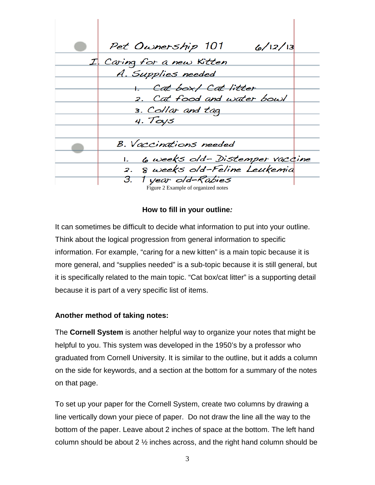Pet Ownership 101  $6/12/13$ Caring for a new Kitten A. Supplies needed 1. Cat box/ Cat litter Cat food and water bowl 3. Collar and tag 4. Toys **B.** Vaccinations needed 6 weeks old-Distemper vaccine Ι. 8 weeks old-Feline Leukemia  $\mathcal{Z}$ . З. 1 year old-Rabies Figure 2 Example of organized notes

#### **How to fill in your outline***:*

It can sometimes be difficult to decide what information to put into your outline. Think about the logical progression from general information to specific information. For example, "caring for a new kitten" is a main topic because it is more general, and "supplies needed" is a sub-topic because it is still general, but it is specifically related to the main topic. "Cat box/cat litter" is a supporting detail because it is part of a very specific list of items.

#### **Another method of taking notes:**

The **Cornell System** is another helpful way to organize your notes that might be helpful to you. This system was developed in the 1950's by a professor who graduated from Cornell University. It is similar to the outline, but it adds a column on the side for keywords, and a section at the bottom for a summary of the notes on that page.

To set up your paper for the Cornell System, create two columns by drawing a line vertically down your piece of paper. Do not draw the line all the way to the bottom of the paper. Leave about 2 inches of space at the bottom. The left hand column should be about 2 ½ inches across, and the right hand column should be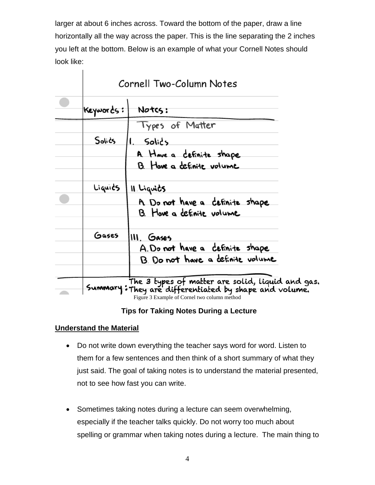larger at about 6 inches across. Toward the bottom of the paper, draw a line horizontally all the way across the paper. This is the line separating the 2 inches you left at the bottom. Below is an example of what your Cornell Notes should look like:

| Cornell Two-Column Notes |                                                                                                           |
|--------------------------|-----------------------------------------------------------------------------------------------------------|
| Keywords:                | Notcs:                                                                                                    |
|                          | Types of Matter                                                                                           |
| Solics                   | l. Solic's                                                                                                |
|                          | A Have a cefinite shape                                                                                   |
|                          | B. Hove a cefinite volume                                                                                 |
| Liquids                  | Il Liquits                                                                                                |
|                          | A Do not have a cefinite shape                                                                            |
|                          | B. Hove a cefinite volume                                                                                 |
| Gases                    | III. Gases                                                                                                |
|                          | A. Do not have a cefinite shape                                                                           |
|                          | B. Do not have a definite volume                                                                          |
|                          | The 3 types of matter are solid, liquid and gas.<br>Summary: They are differentiated by shape and volume. |

Figure 3 Example of Cornel two column method

### **Tips for Taking Notes During a Lecture**

### **Understand the Material**

 $\mathbf{I}$ 

- Do not write down everything the teacher says word for word. Listen to them for a few sentences and then think of a short summary of what they just said. The goal of taking notes is to understand the material presented, not to see how fast you can write.
- Sometimes taking notes during a lecture can seem overwhelming, especially if the teacher talks quickly. Do not worry too much about spelling or grammar when taking notes during a lecture. The main thing to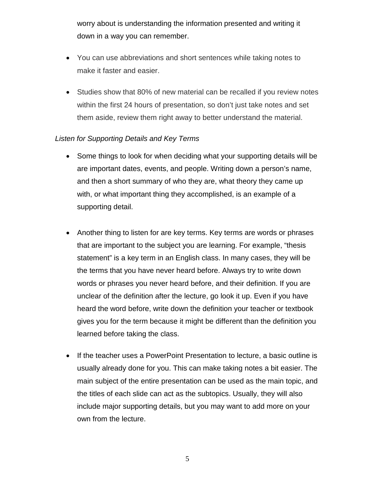worry about is understanding the information presented and writing it down in a way you can remember.

- You can use abbreviations and short sentences while taking notes to make it faster and easier.
- Studies show that 80% of new material can be recalled if you review notes within the first 24 hours of presentation, so don't just take notes and set them aside, review them right away to better understand the material.

#### *Listen for Supporting Details and Key Terms*

- Some things to look for when deciding what your supporting details will be are important dates, events, and people. Writing down a person's name, and then a short summary of who they are, what theory they came up with, or what important thing they accomplished, is an example of a supporting detail.
- Another thing to listen for are key terms. Key terms are words or phrases that are important to the subject you are learning. For example, "thesis statement" is a key term in an English class. In many cases, they will be the terms that you have never heard before. Always try to write down words or phrases you never heard before, and their definition. If you are unclear of the definition after the lecture, go look it up. Even if you have heard the word before, write down the definition your teacher or textbook gives you for the term because it might be different than the definition you learned before taking the class.
- If the teacher uses a PowerPoint Presentation to lecture, a basic outline is usually already done for you. This can make taking notes a bit easier. The main subject of the entire presentation can be used as the main topic, and the titles of each slide can act as the subtopics. Usually, they will also include major supporting details, but you may want to add more on your own from the lecture.

5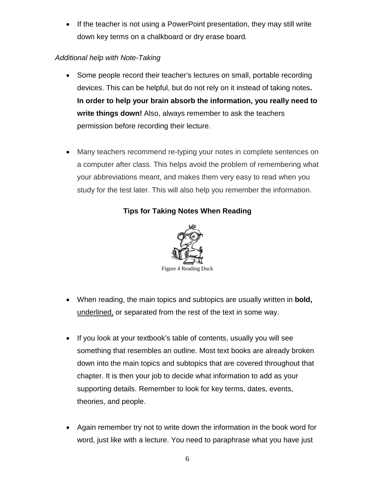• If the teacher is not using a PowerPoint presentation, they may still write down key terms on a chalkboard or dry erase board*.*

# *Additional help with Note-Taking*

- Some people record their teacher's lectures on small, portable recording devices. This can be helpful, but do not rely on it instead of taking notes**. In order to help your brain absorb the information, you really need to write things down!** Also, always remember to ask the teachers permission before recording their lecture.
- Many teachers recommend re-typing your notes in complete sentences on a computer after class. This helps avoid the problem of remembering what your abbreviations meant, and makes them very easy to read when you study for the test later. This will also help you remember the information.

# **Tips for Taking Notes When Reading**



- When reading, the main topics and subtopics are usually written in **bold,** underlined, or separated from the rest of the text in some way.
- If you look at your textbook's table of contents, usually you will see something that resembles an outline. Most text books are already broken down into the main topics and subtopics that are covered throughout that chapter. It is then your job to decide what information to add as your supporting details. Remember to look for key terms, dates, events, theories, and people.
- Again remember try not to write down the information in the book word for word, just like with a lecture. You need to paraphrase what you have just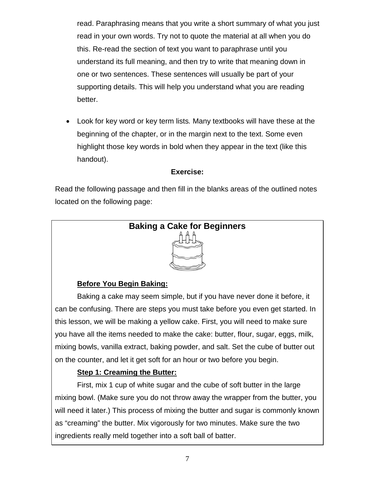read. Paraphrasing means that you write a short summary of what you just read in your own words. Try not to quote the material at all when you do this. Re-read the section of text you want to paraphrase until you understand its full meaning, and then try to write that meaning down in one or two sentences. These sentences will usually be part of your supporting details. This will help you understand what you are reading better.

• Look for key word or key term lists*.* Many textbooks will have these at the beginning of the chapter, or in the margin next to the text. Some even highlight those key words in bold when they appear in the text (like this handout).

### **Exercise:**

Read the following passage and then fill in the blanks areas of the outlined notes located on the following page:



# **Before You Begin Baking:**

Baking a cake may seem simple, but if you have never done it before, it can be confusing. There are steps you must take before you even get started. In this lesson, we will be making a yellow cake. First, you will need to make sure you have all the items needed to make the cake: butter, flour, sugar, eggs, milk, mixing bowls, vanilla extract, baking powder, and salt. Set the cube of butter out on the counter, and let it get soft for an hour or two before you begin.

# **Step 1: Creaming the Butter:**

First, mix 1 cup of white sugar and the cube of soft butter in the large mixing bowl. (Make sure you do not throw away the wrapper from the butter, you will need it later.) This process of mixing the butter and sugar is commonly known as "creaming" the butter. Mix vigorously for two minutes. Make sure the two ingredients really meld together into a soft ball of batter.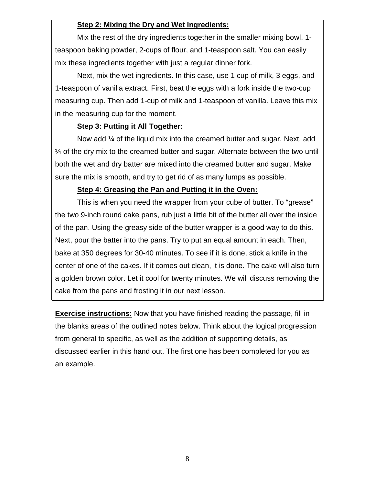### **Step 2: Mixing the Dry and Wet Ingredients:**

Mix the rest of the dry ingredients together in the smaller mixing bowl. 1 teaspoon baking powder, 2-cups of flour, and 1-teaspoon salt. You can easily mix these ingredients together with just a regular dinner fork.

Next, mix the wet ingredients. In this case, use 1 cup of milk, 3 eggs, and 1-teaspoon of vanilla extract. First, beat the eggs with a fork inside the two-cup measuring cup. Then add 1-cup of milk and 1-teaspoon of vanilla. Leave this mix in the measuring cup for the moment.

#### **Step 3: Putting it All Together:**

Now add ¼ of the liquid mix into the creamed butter and sugar. Next, add ¼ of the dry mix to the creamed butter and sugar. Alternate between the two until both the wet and dry batter are mixed into the creamed butter and sugar. Make sure the mix is smooth, and try to get rid of as many lumps as possible.

#### **Step 4: Greasing the Pan and Putting it in the Oven:**

This is when you need the wrapper from your cube of butter. To "grease" the two 9-inch round cake pans, rub just a little bit of the butter all over the inside of the pan. Using the greasy side of the butter wrapper is a good way to do this. Next, pour the batter into the pans. Try to put an equal amount in each. Then, bake at 350 degrees for 30-40 minutes. To see if it is done, stick a knife in the center of one of the cakes. If it comes out clean, it is done. The cake will also turn a golden brown color. Let it cool for twenty minutes. We will discuss removing the cake from the pans and frosting it in our next lesson.

**Exercise instructions:** Now that you have finished reading the passage, fill in the blanks areas of the outlined notes below. Think about the logical progression from general to specific, as well as the addition of supporting details, as discussed earlier in this hand out. The first one has been completed for you as an example.